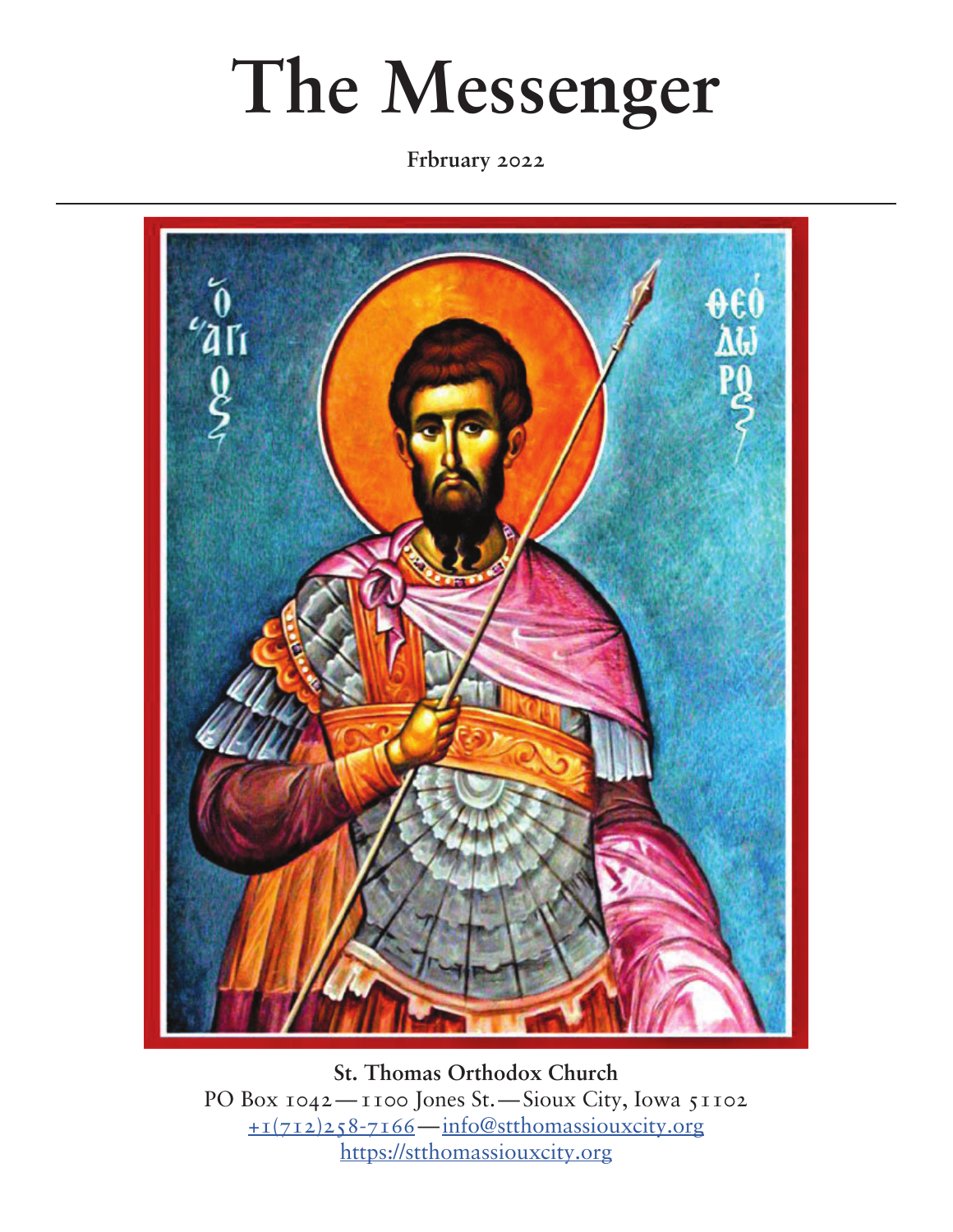# **The Messenger**

**Frbruary 2022**



**St. Thomas Orthodox Church** PO Box 1042—1100 Jones St.—Sioux City, Iowa 51102 [+1\(712\)258-7166](tel:+17122587166)—[info@stthomassiouxcity.org](mailto:info%40stthomassiouxcity.org?subject=) <https://stthomassiouxcity.org>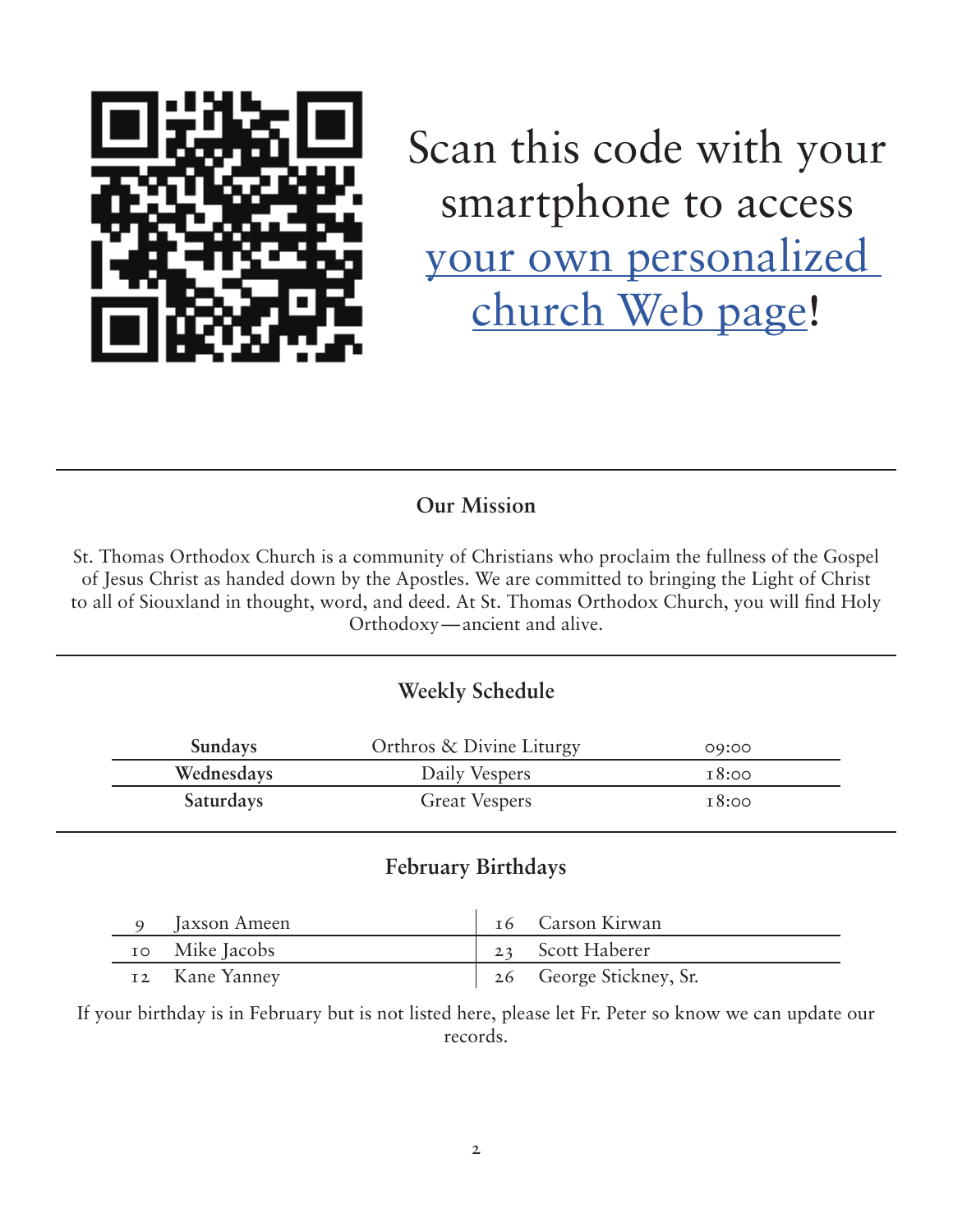

Scan this code with your smartphone to access [your own personalized](https://stthomassiouxcity.churchtrac.com)  [church Web page!](https://stthomassiouxcity.churchtrac.com)

### **Our Mission**

St. Thomas Orthodox Church is a community of Christians who proclaim the fullness of the Gospel of Jesus Christ as handed down by the Apostles. We are committed to bringing the Light of Christ to all of Siouxland in thought, word, and deed. At St. Thomas Orthodox Church, you will find Holy Orthodoxy—ancient and alive.

### **Weekly Schedule**

| <b>Sundays</b>   | Orthros & Divine Liturgy | 09:00 |
|------------------|--------------------------|-------|
| Wednesdays       | Daily Vespers            | 18:00 |
| <b>Saturdays</b> | <b>Great Vespers</b>     | 18:00 |

#### **February Birthdays**

| Jaxson Ameen   | 16 Carson Kirwan        |
|----------------|-------------------------|
| 10 Mike Jacobs | 23 Scott Haberer        |
| 12 Kane Yanney | 26 George Stickney, Sr. |

If your birthday is in February but is not listed here, please let Fr. Peter so know we can update our records.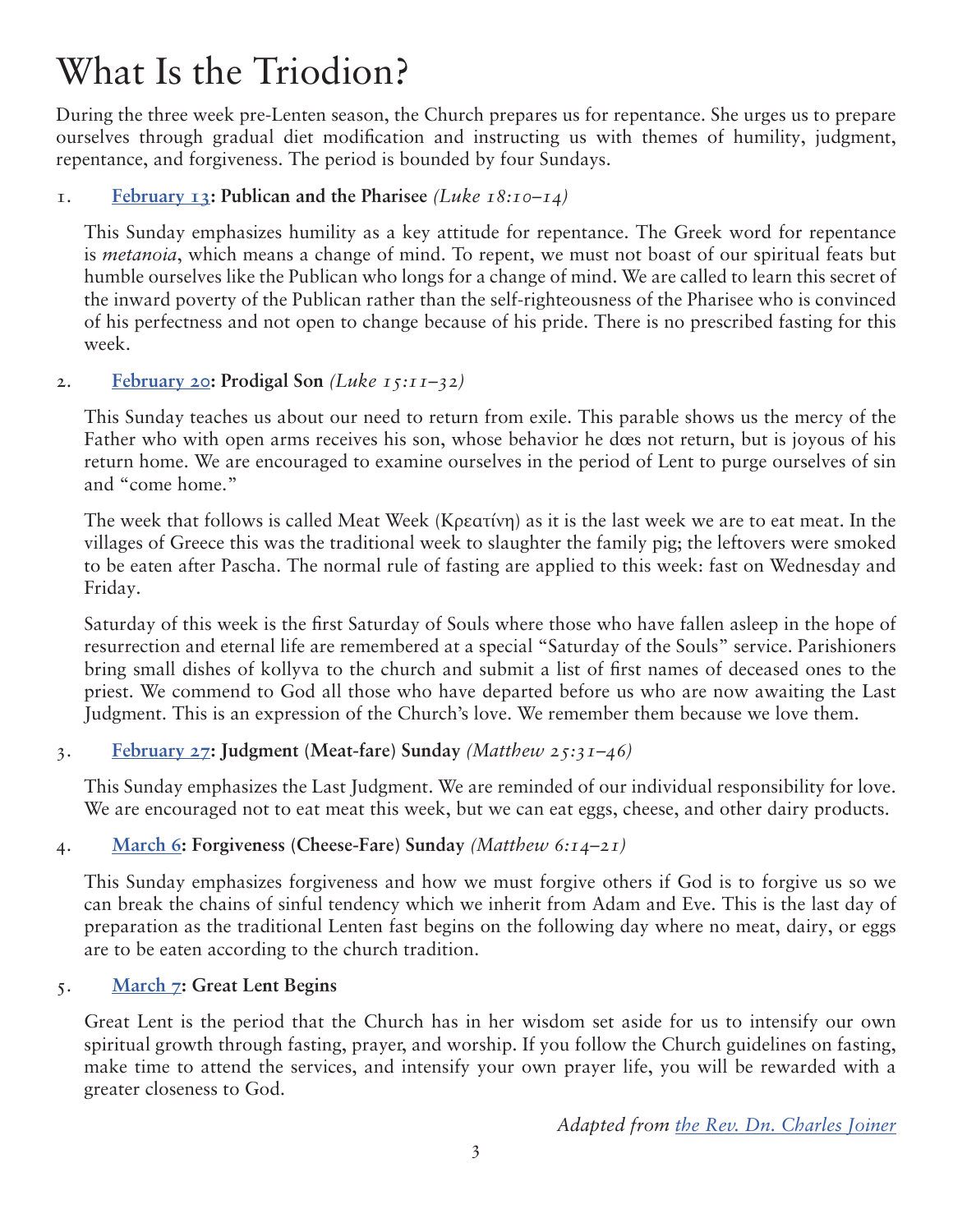### What Is the Triodion?

During the three week pre-Lenten season, the Church prepares us for repentance. She urges us to prepare ourselves through gradual diet modification and instructing us with themes of humility, judgment, repentance, and forgiveness. The period is bounded by four Sundays.

#### 1. **[February 13](https://www.antiochian.org/liturgicday/3002): Publican and the Pharisee** *(Luke 18:10–14)*

This Sunday emphasizes humility as a key attitude for repentance. The Greek word for repentance is *metanoia*, which means a change of mind. To repent, we must not boast of our spiritual feats but humble ourselves like the Publican who longs for a change of mind. We are called to learn this secret of the inward poverty of the Publican rather than the self-righteousness of the Pharisee who is convinced of his perfectness and not open to change because of his pride. There is no prescribed fasting for this week.

#### 2. **[February 20](https://www.antiochian.org/liturgicday/3009): Prodigal Son** *(Luke 15:11–32)*

This Sunday teaches us about our need to return from exile. This parable shows us the mercy of the Father who with open arms receives his son, whose behavior he does not return, but is joyous of his return home. We are encouraged to examine ourselves in the period of Lent to purge ourselves of sin and "come home."

The week that follows is called Meat Week (Κρεατίνη) as it is the last week we are to eat meat. In the villages of Greece this was the traditional week to slaughter the family pig; the leftovers were smoked to be eaten after Pascha. The normal rule of fasting are applied to this week: fast on Wednesday and Friday.

Saturday of this week is the first Saturday of Souls where those who have fallen asleep in the hope of resurrection and eternal life are remembered at a special "Saturday of the Souls" service. Parishioners bring small dishes of kollyva to the church and submit a list of first names of deceased ones to the priest. We commend to God all those who have departed before us who are now awaiting the Last Judgment. This is an expression of the Church's love. We remember them because we love them.

#### 3. **[February 27](https://www.antiochian.org/liturgicday/3016): Judgment (Meat-fare) Sunday** *(Matthew 25:31–46)*

This Sunday emphasizes the Last Judgment. We are reminded of our individual responsibility for love. We are encouraged not to eat meat this week, but we can eat eggs, cheese, and other dairy products.

#### 4. **[March 6:](https://www.antiochian.org/liturgicday/3023) Forgiveness (Cheese-Fare) Sunday** *(Matthew 6:14–21)*

This Sunday emphasizes forgiveness and how we must forgive others if God is to forgive us so we can break the chains of sinful tendency which we inherit from Adam and Eve. This is the last day of preparation as the traditional Lenten fast begins on the following day where no meat, dairy, or eggs are to be eaten according to the church tradition.

#### 5. **[March 7:](https://www.antiochian.org/liturgicday/3024) Great Lent Begins**

Great Lent is the period that the Church has in her wisdom set aside for us to intensify our own spiritual growth through fasting, prayer, and worship. If you follow the Church guidelines on fasting, make time to attend the services, and intensify your own prayer life, you will be rewarded with a greater closeness to God.

*Adapted from [the Rev. Dn. Charles Joiner](https://orthodoxwayoflife.blogspot.com/2010/01/what-is-triodion.html)*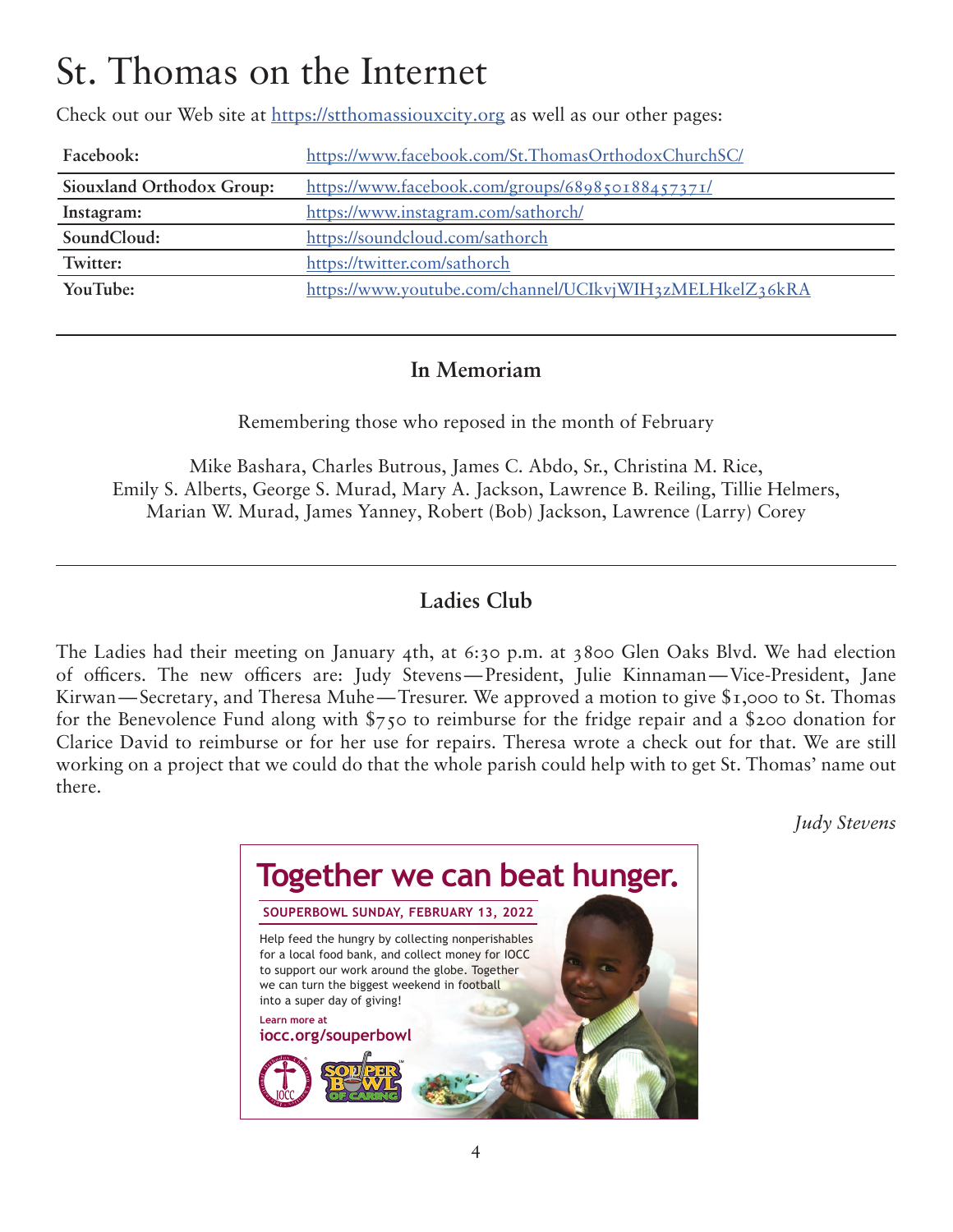### St. Thomas on the Internet

Check out our Web site at<https://stthomassiouxcity.org> as well as our other pages:

| Facebook:                 | https://www.facebook.com/St.ThomasOrthodoxChurchSC/      |
|---------------------------|----------------------------------------------------------|
| Siouxland Orthodox Group: | https://www.facebook.com/groups/689850188457371/         |
| Instagram:                | https://www.instagram.com/sathorch/                      |
| SoundCloud:               | https://soundcloud.com/sathorch                          |
| Twitter:                  | https://twitter.com/sathorch                             |
| YouTube:                  | https://www.youtube.com/channel/UCIkvjWIH3zMELHkelZ36kRA |

### **In Memoriam**

Remembering those who reposed in the month of February

Mike Bashara, Charles Butrous, James C. Abdo, Sr., Christina M. Rice, Emily S. Alberts, George S. Murad, Mary A. Jackson, Lawrence B. Reiling, Tillie Helmers, Marian W. Murad, James Yanney, Robert (Bob) Jackson, Lawrence (Larry) Corey

### **Ladies Club**

The Ladies had their meeting on January 4th, at 6:30 p.m. at 3800 Glen Oaks Blvd. We had election of officers. The new officers are: Judy Stevens—President, Julie Kinnaman—Vice-President, Jane Kirwan—Secretary, and Theresa Muhe—Tresurer. We approved a motion to give \$1,000 to St. Thomas for the Benevolence Fund along with \$750 to reimburse for the fridge repair and a \$200 donation for Clarice David to reimburse or for her use for repairs. Theresa wrote a check out for that. We are still working on a project that we could do that the whole parish could help with to get St. Thomas' name out there.

*Judy Stevens*

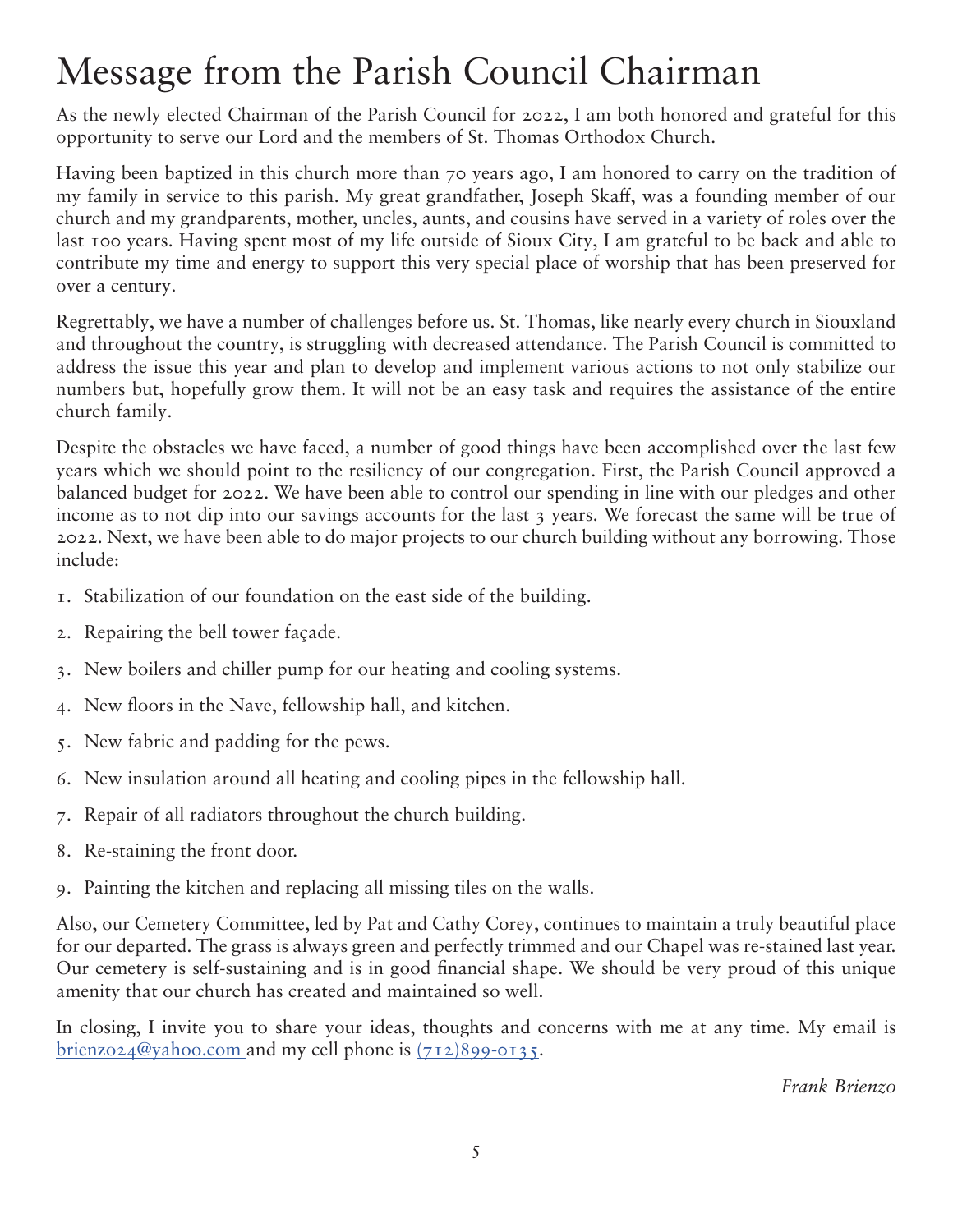### Message from the Parish Council Chairman

As the newly elected Chairman of the Parish Council for 2022, I am both honored and grateful for this opportunity to serve our Lord and the members of St. Thomas Orthodox Church.

Having been baptized in this church more than 70 years ago, I am honored to carry on the tradition of my family in service to this parish. My great grandfather, Joseph Skaff, was a founding member of our church and my grandparents, mother, uncles, aunts, and cousins have served in a variety of roles over the last 100 years. Having spent most of my life outside of Sioux City, I am grateful to be back and able to contribute my time and energy to support this very special place of worship that has been preserved for over a century.

Regrettably, we have a number of challenges before us. St. Thomas, like nearly every church in Siouxland and throughout the country, is struggling with decreased attendance. The Parish Council is committed to address the issue this year and plan to develop and implement various actions to not only stabilize our numbers but, hopefully grow them. It will not be an easy task and requires the assistance of the entire church family.

Despite the obstacles we have faced, a number of good things have been accomplished over the last few years which we should point to the resiliency of our congregation. First, the Parish Council approved a balanced budget for 2022. We have been able to control our spending in line with our pledges and other income as to not dip into our savings accounts for the last 3 years. We forecast the same will be true of 2022. Next, we have been able to do major projects to our church building without any borrowing. Those include:

- 1. Stabilization of our foundation on the east side of the building.
- 2. Repairing the bell tower façade.
- 3. New boilers and chiller pump for our heating and cooling systems.
- 4. New floors in the Nave, fellowship hall, and kitchen.
- 5. New fabric and padding for the pews.
- 6. New insulation around all heating and cooling pipes in the fellowship hall.
- 7. Repair of all radiators throughout the church building.
- 8. Re-staining the front door.
- 9. Painting the kitchen and replacing all missing tiles on the walls.

Also, our Cemetery Committee, led by Pat and Cathy Corey, continues to maintain a truly beautiful place for our departed. The grass is always green and perfectly trimmed and our Chapel was re-stained last year. Our cemetery is self-sustaining and is in good financial shape. We should be very proud of this unique amenity that our church has created and maintained so well.

In closing, I invite you to share your ideas, thoughts and concerns with me at any time. My email is [brienzo24@yahoo.com](mailto:brienzo24@yahoo.com) and my cell phone is  $(712)899 - 0135$ .

*Frank Brienzo*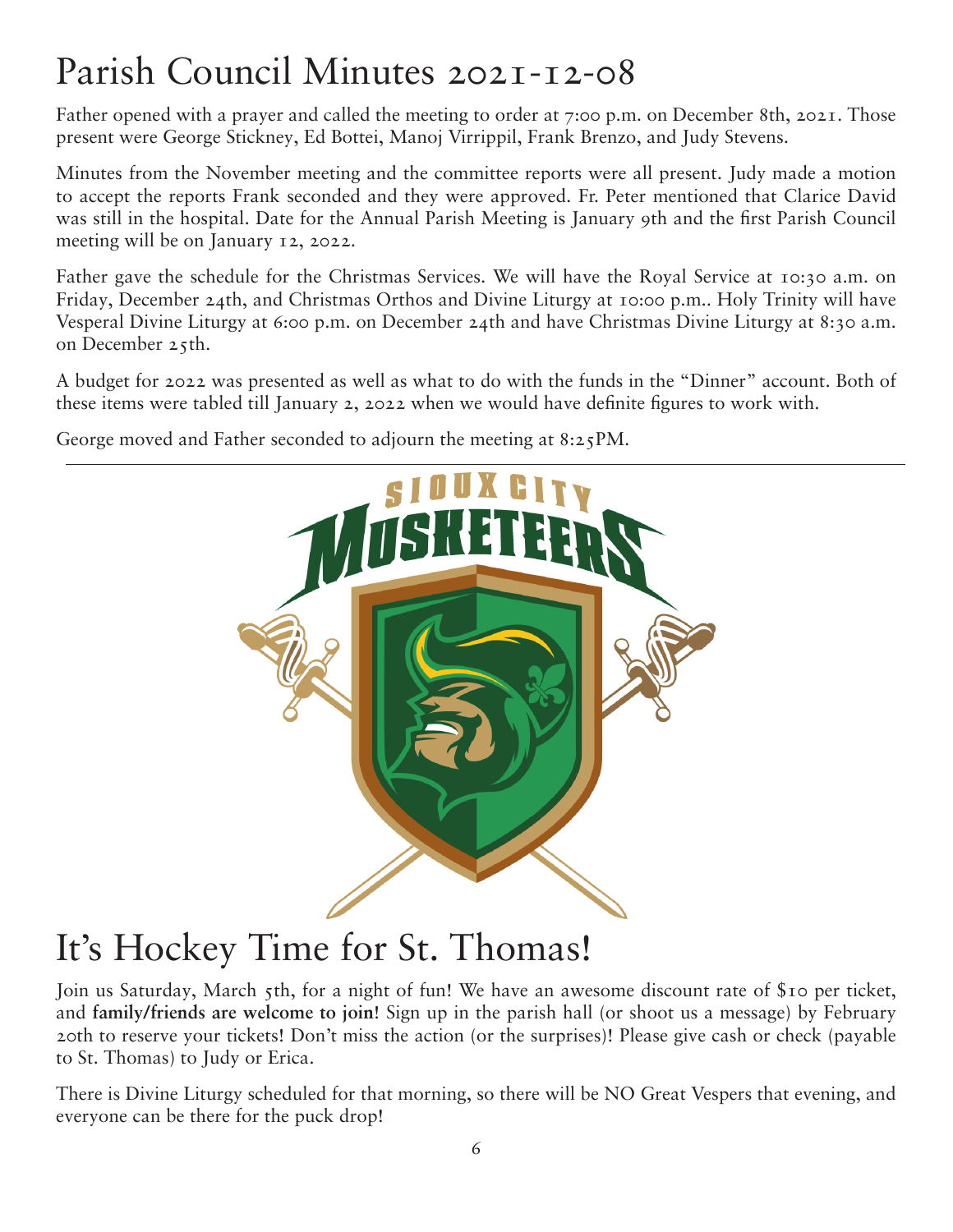## Parish Council Minutes 2021-12-08

Father opened with a prayer and called the meeting to order at 7:00 p.m. on December 8th, 2021. Those present were George Stickney, Ed Bottei, Manoj Virrippil, Frank Brenzo, and Judy Stevens.

Minutes from the November meeting and the committee reports were all present. Judy made a motion to accept the reports Frank seconded and they were approved. Fr. Peter mentioned that Clarice David was still in the hospital. Date for the Annual Parish Meeting is January 9th and the first Parish Council meeting will be on January 12, 2022.

Father gave the schedule for the Christmas Services. We will have the Royal Service at 10:30 a.m. on Friday, December 24th, and Christmas Orthos and Divine Liturgy at 10:00 p.m.. Holy Trinity will have Vesperal Divine Liturgy at 6:00 p.m. on December 24th and have Christmas Divine Liturgy at 8:30 a.m. on December 25th.

A budget for 2022 was presented as well as what to do with the funds in the "Dinner" account. Both of these items were tabled till January 2, 2022 when we would have definite figures to work with.

George moved and Father seconded to adjourn the meeting at 8:25PM.



### It's Hockey Time for St. Thomas!

Join us Saturday, March 5th, for a night of fun! We have an awesome discount rate of \$10 per ticket, and **family/friends are welcome to join**! Sign up in the parish hall (or shoot us a message) by February 20th to reserve your tickets! Don't miss the action (or the surprises)! Please give cash or check (payable to St. Thomas) to Judy or Erica.

There is Divine Liturgy scheduled for that morning, so there will be NO Great Vespers that evening, and everyone can be there for the puck drop!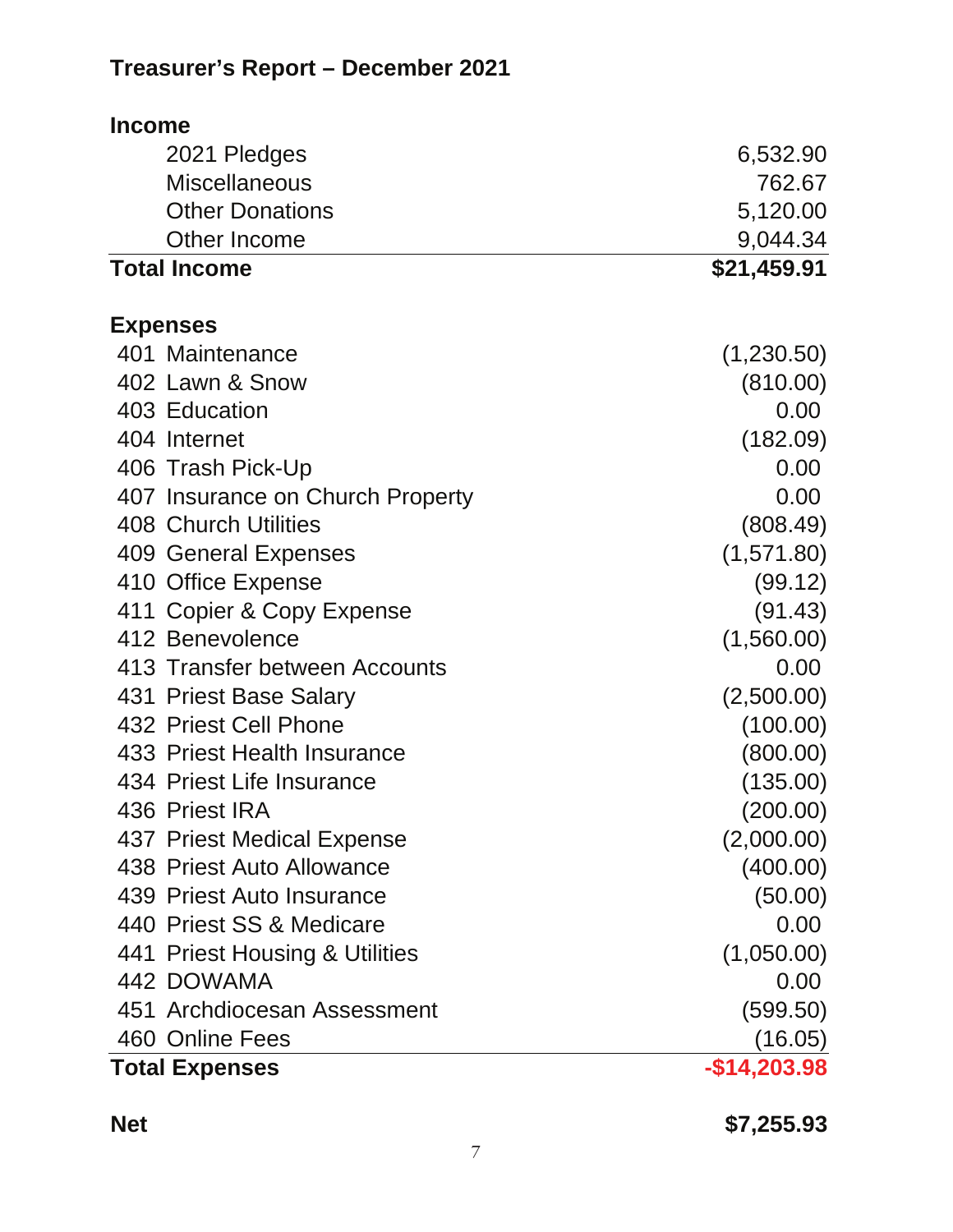### **Treasurer's Report – December 2021**

| <b>Income</b>       |                                  |               |
|---------------------|----------------------------------|---------------|
|                     | 2021 Pledges                     | 6,532.90      |
|                     | <b>Miscellaneous</b>             | 762.67        |
|                     | <b>Other Donations</b>           | 5,120.00      |
|                     | Other Income                     | 9,044.34      |
| <b>Total Income</b> |                                  | \$21,459.91   |
| <b>Expenses</b>     |                                  |               |
|                     | 401 Maintenance                  | (1,230.50)    |
|                     | 402 Lawn & Snow                  | (810.00)      |
|                     | 403 Education                    | 0.00          |
| 404 Internet        |                                  | (182.09)      |
|                     | 406 Trash Pick-Up                | 0.00          |
|                     | 407 Insurance on Church Property | 0.00          |
|                     | <b>408 Church Utilities</b>      | (808.49)      |
|                     | 409 General Expenses             | (1,571.80)    |
|                     | 410 Office Expense               | (99.12)       |
|                     | 411 Copier & Copy Expense        | (91.43)       |
|                     | 412 Benevolence                  | (1,560.00)    |
|                     | 413 Transfer between Accounts    | 0.00          |
|                     | 431 Priest Base Salary           | (2,500.00)    |
|                     | 432 Priest Cell Phone            | (100.00)      |
|                     | 433 Priest Health Insurance      | (800.00)      |
|                     | 434 Priest Life Insurance        | (135.00)      |
|                     | 436 Priest IRA                   | (200.00)      |
|                     | 437 Priest Medical Expense       | (2,000.00)    |
|                     | 438 Priest Auto Allowance        | (400.00)      |
|                     | 439 Priest Auto Insurance        | (50.00)       |
|                     | 440 Priest SS & Medicare         | 0.00          |
|                     | 441 Priest Housing & Utilities   | (1,050.00)    |
|                     | 442 DOWAMA                       | 0.00          |
|                     | 451 Archdiocesan Assessment      | (599.50)      |
|                     | 460 Online Fees                  | (16.05)       |
|                     | <b>Total Expenses</b>            | $-$14,203.98$ |